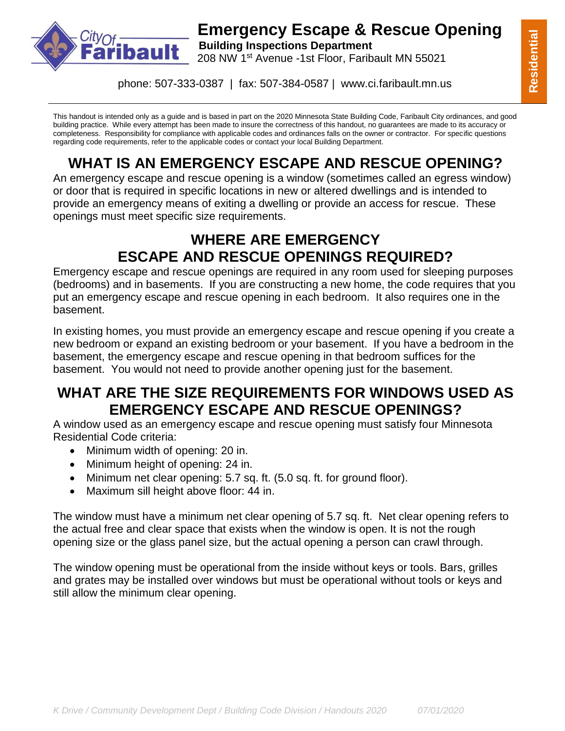

# **Emergency Escape & Rescue Opening**

**bault** Building Inspections Department 208 NW 1st Avenue -1st Floor, Faribault MN 55021

phone: 507-333-0387 | fax: 507-384-0587 | www.ci.faribault.mn.us

This handout is intended only as a guide and is based in part on the 2020 Minnesota State Building Code, Faribault City ordinances, and good building practice. While every attempt has been made to insure the correctness of this handout, no guarantees are made to its accuracy or completeness. Responsibility for compliance with applicable codes and ordinances falls on the owner or contractor. For specific questions regarding code requirements, refer to the applicable codes or contact your local Building Department.

## **WHAT IS AN EMERGENCY ESCAPE AND RESCUE OPENING?**

An emergency escape and rescue opening is a window (sometimes called an egress window) or door that is required in specific locations in new or altered dwellings and is intended to provide an emergency means of exiting a dwelling or provide an access for rescue. These openings must meet specific size requirements.

## **WHERE ARE EMERGENCY ESCAPE AND RESCUE OPENINGS REQUIRED?**

Emergency escape and rescue openings are required in any room used for sleeping purposes (bedrooms) and in basements. If you are constructing a new home, the code requires that you put an emergency escape and rescue opening in each bedroom. It also requires one in the basement.

In existing homes, you must provide an emergency escape and rescue opening if you create a new bedroom or expand an existing bedroom or your basement. If you have a bedroom in the basement, the emergency escape and rescue opening in that bedroom suffices for the basement. You would not need to provide another opening just for the basement.

### **WHAT ARE THE SIZE REQUIREMENTS FOR WINDOWS USED AS EMERGENCY ESCAPE AND RESCUE OPENINGS?**

A window used as an emergency escape and rescue opening must satisfy four Minnesota Residential Code criteria:

- Minimum width of opening: 20 in.
- Minimum height of opening: 24 in.
- Minimum net clear opening: 5.7 sq. ft. (5.0 sq. ft. for ground floor).
- Maximum sill height above floor: 44 in.

The window must have a minimum net clear opening of 5.7 sq. ft. Net clear opening refers to the actual free and clear space that exists when the window is open. It is not the rough opening size or the glass panel size, but the actual opening a person can crawl through.

The window opening must be operational from the inside without keys or tools. Bars, grilles and grates may be installed over windows but must be operational without tools or keys and still allow the minimum clear opening.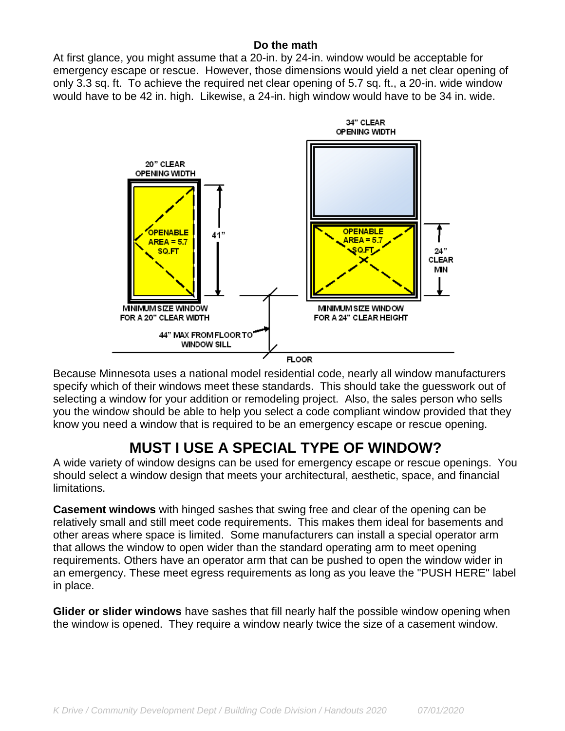#### **Do the math**

At first glance, you might assume that a 20-in. by 24-in. window would be acceptable for emergency escape or rescue. However, those dimensions would yield a net clear opening of only 3.3 sq. ft. To achieve the required net clear opening of 5.7 sq. ft., a 20-in. wide window would have to be 42 in. high. Likewise, a 24-in. high window would have to be 34 in. wide.



Because Minnesota uses a national model residential code, nearly all window manufacturers specify which of their windows meet these standards. This should take the guesswork out of selecting a window for your addition or remodeling project. Also, the sales person who sells you the window should be able to help you select a code compliant window provided that they know you need a window that is required to be an emergency escape or rescue opening.

## **MUST I USE A SPECIAL TYPE OF WINDOW?**

A wide variety of window designs can be used for emergency escape or rescue openings. You should select a window design that meets your architectural, aesthetic, space, and financial limitations.

**Casement windows** with hinged sashes that swing free and clear of the opening can be relatively small and still meet code requirements. This makes them ideal for basements and other areas where space is limited. Some manufacturers can install a special operator arm that allows the window to open wider than the standard operating arm to meet opening requirements. Others have an operator arm that can be pushed to open the window wider in an emergency. These meet egress requirements as long as you leave the "PUSH HERE" label in place.

**Glider or slider windows** have sashes that fill nearly half the possible window opening when the window is opened. They require a window nearly twice the size of a casement window.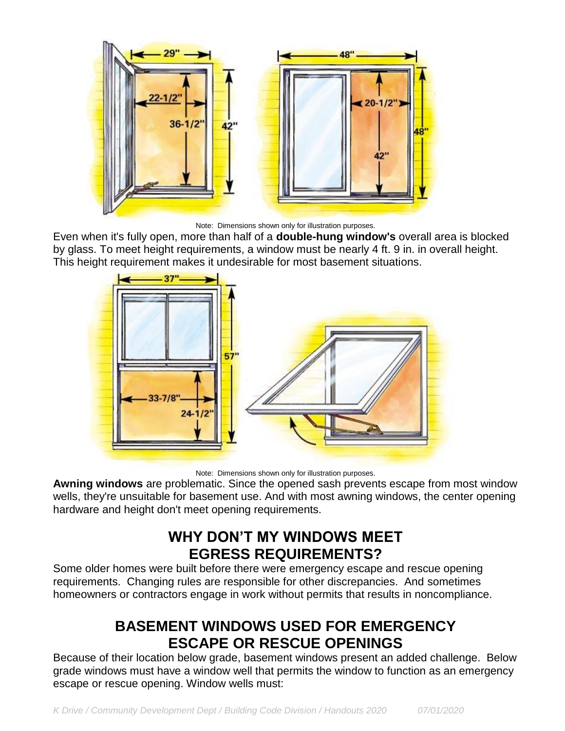

Note: Dimensions shown only for illustration purposes.

Even when it's fully open, more than half of a **double-hung window's** overall area is blocked by glass. To meet height requirements, a window must be nearly 4 ft. 9 in. in overall height. This height requirement makes it undesirable for most basement situations.



Note: Dimensions shown only for illustration purposes.

**Awning windows** are problematic. Since the opened sash prevents escape from most window wells, they're unsuitable for basement use. And with most awning windows, the center opening hardware and height don't meet opening requirements.

## **WHY DON'T MY WINDOWS MEET EGRESS REQUIREMENTS?**

Some older homes were built before there were emergency escape and rescue opening requirements. Changing rules are responsible for other discrepancies. And sometimes homeowners or contractors engage in work without permits that results in noncompliance.

### **BASEMENT WINDOWS USED FOR EMERGENCY ESCAPE OR RESCUE OPENINGS**

Because of their location below grade, basement windows present an added challenge. Below grade windows must have a window well that permits the window to function as an emergency escape or rescue opening. Window wells must: